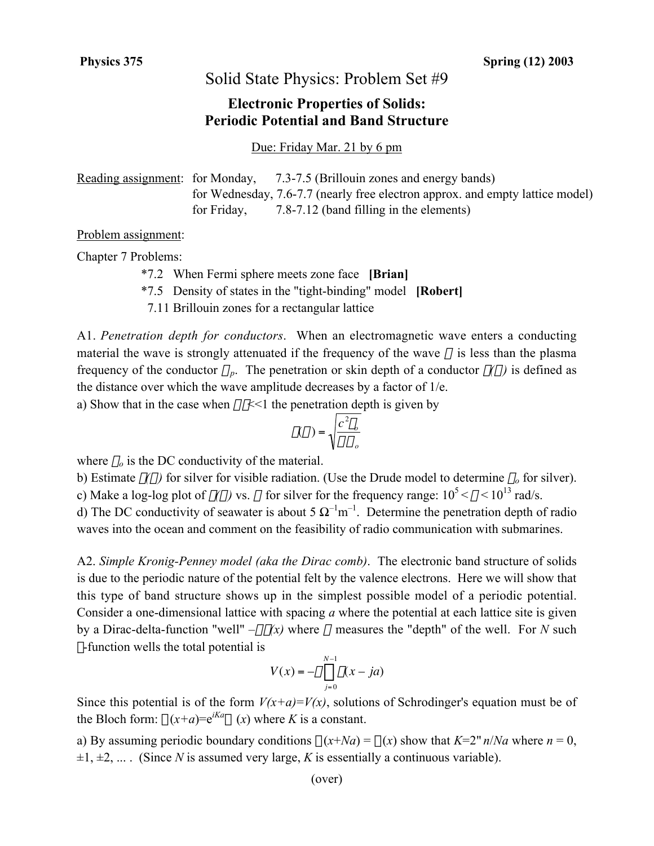## Solid State Physics: Problem Set #9

## **Electronic Properties of Solids: Periodic Potential and Band Structure**

Due: Friday Mar. 21 by 6 pm

Reading assignment: for Monday, 7.3-7.5 (Brillouin zones and energy bands) for Wednesday, 7.6-7.7 (nearly free electron approx. and empty lattice model) for Friday, 7.8-7.12 (band filling in the elements)

## Problem assignment:

Chapter 7 Problems:

- \*7.2 When Fermi sphere meets zone face **[Brian]**
- \*7.5 Density of states in the "tight-binding" model **[Robert]**

7.11 Brillouin zones for a rectangular lattice

A1. *Penetration depth for conductors*. When an electromagnetic wave enters a conducting material the wave is strongly attenuated if the frequency of the wave  $\omega$  is less than the plasma frequency of the conductor  $\omega_p$ . The penetration or skin depth of a conductor  $\delta(\omega)$  is defined as the distance over which the wave amplitude decreases by a factor of 1/e.

a) Show that in the case when  $\omega \tau \ll 1$  the penetration depth is given by

$$
\delta(\omega) = \sqrt{\frac{c^2 \varepsilon_o}{\omega \sigma_o}}
$$

where  $\sigma$ <sub>o</sub> is the DC conductivity of the material.

c) Make a log-log plot of  $\delta(\omega)$  vs.  $\omega$  for silver for the frequency range:  $10^5 < \omega < 10^{13}$  rad/s. b) Estimate  $\delta(\omega)$  for silver for visible radiation. (Use the Drude model to determine  $\sigma_0$  for silver).

d) The DC conductivity of seawater is about 5  $\Omega^{-1}$ m<sup>-1</sup>. Determine the penetration depth of radio waves into the ocean and comment on the feasibility of radio communication with submarines.

A2. *Simple Kronig-Penney model (aka the Dirac comb)*. The electronic band structure of solids is due to the periodic nature of the potential felt by the valence electrons. Here we will show that this type of band structure shows up in the simplest possible model of a periodic potential. Consider a one-dimensional lattice with spacing *a* where the potential at each lattice site is given by a Dirac-delta-function "well"  $-\alpha\delta(x)$  where  $\alpha$  measures the "depth" of the well. For *N* such d-function wells the total potential is

$$
V(x) = -\alpha \sum_{j=0}^{N-1} \delta(x - ja)
$$

Since this potential is of the form  $V(x+a)=V(x)$ , solutions of Schrodinger's equation must be of the Bloch form:  $\psi(x+a) = e^{ika}\psi(x)$  where *K* is a constant.

a) By assuming periodic boundary conditions  $\psi(x+Na) = \psi(x)$  show that  $K=2\pi n/Na$  where  $n = 0$ ,  $\pm 1, \pm 2, \ldots$ . (Since *N* is assumed very large, *K* is essentially a continuous variable).